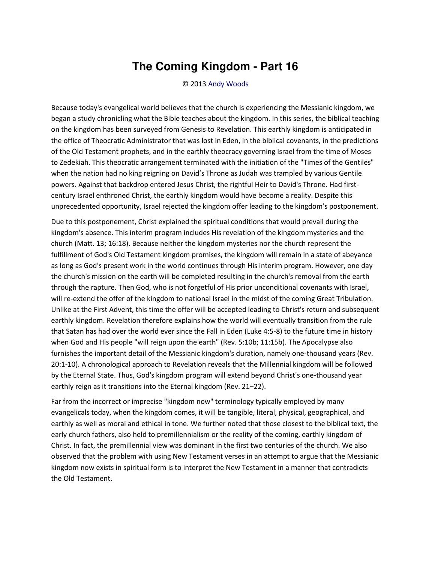## **The Coming Kingdom - Part 16**

© 2013 [Andy Woods](http://www.spiritandtruth.org/id/aw.htm)

Because today's evangelical world believes that the church is experiencing the Messianic kingdom, we began a study chronicling what the Bible teaches about the kingdom. In this series, the biblical teaching on the kingdom has been surveyed from Genesis to Revelation. This earthly kingdom is anticipated in the office of Theocratic Administrator that was lost in Eden, in the biblical covenants, in the predictions of the Old Testament prophets, and in the earthly theocracy governing Israel from the time of Moses to Zedekiah. This theocratic arrangement terminated with the initiation of the "Times of the Gentiles" when the nation had no king reigning on David's Throne as Judah was trampled by various Gentile powers. Against that backdrop entered Jesus Christ, the rightful Heir to David's Throne. Had firstcentury Israel enthroned Christ, the earthly kingdom would have become a reality. Despite this unprecedented opportunity, Israel rejected the kingdom offer leading to the kingdom's postponement.

Due to this postponement, Christ explained the spiritual conditions that would prevail during the kingdom's absence. This interim program includes His revelation of the kingdom mysteries and the church (Matt. 13; 16:18). Because neither the kingdom mysteries nor the church represent the fulfillment of God's Old Testament kingdom promises, the kingdom will remain in a state of abeyance as long as God's present work in the world continues through His interim program. However, one day the church's mission on the earth will be completed resulting in the church's removal from the earth through the rapture. Then God, who is not forgetful of His prior unconditional covenants with Israel, will re-extend the offer of the kingdom to national Israel in the midst of the coming Great Tribulation. Unlike at the First Advent, this time the offer will be accepted leading to Christ's return and subsequent earthly kingdom. Revelation therefore explains how the world will eventually transition from the rule that Satan has had over the world ever since the Fall in Eden (Luke 4:5-8) to the future time in history when God and His people "will reign upon the earth" (Rev. 5:10b; 11:15b). The Apocalypse also furnishes the important detail of the Messianic kingdom's duration, namely one-thousand years (Rev. 20:1-10). A chronological approach to Revelation reveals that the Millennial kingdom will be followed by the Eternal State. Thus, God's kingdom program will extend beyond Christ's one-thousand year earthly reign as it transitions into the Eternal kingdom (Rev. 21-22).

Far from the incorrect or imprecise "kingdom now" terminology typically employed by many evangelicals today, when the kingdom comes, it will be tangible, literal, physical, geographical, and earthly as well as moral and ethical in tone. We further noted that those closest to the biblical text, the early church fathers, also held to premillennialism or the reality of the coming, earthly kingdom of Christ. In fact, the premillennial view was dominant in the first two centuries of the church. We also observed that the problem with using New Testament verses in an attempt to argue that the Messianic kingdom now exists in spiritual form is to interpret the New Testament in a manner that contradicts the Old Testament.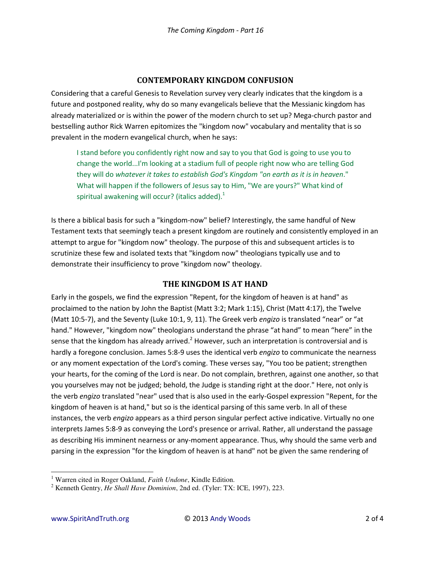## **CONTEMPORARY KINGDOM CONFUSION**

Considering that a careful Genesis to Revelation survey very clearly indicates that the kingdom is a future and postponed reality, why do so many evangelicals believe that the Messianic kingdom has already materialized or is within the power of the modern church to set up? Mega-church pastor and bestselling author Rick Warren epitomizes the "kingdom now" vocabulary and mentality that is so prevalent in the modern evangelical church, when he says:

I stand before you confidently right now and say to you that God is going to use you to change the world...I'm looking at a stadium full of people right now who are telling God they will do *whatever it takes to establish God's Kingdom "on earth as it is in heaven*." What will happen if the followers of Jesus say to Him, "We are yours?" What kind of spiritual awakening will occur? (italics added). $<sup>1</sup>$ </sup>

Is there a biblical basis for such a "kingdom-now" belief? Interestingly, the same handful of New Testament texts that seemingly teach a present kingdom are routinely and consistently employed in an attempt to argue for "kingdom now" theology. The purpose of this and subsequent articles is to scrutinize these few and isolated texts that "kingdom now" theologians typically use and to demonstrate their insufficiency to prove "kingdom now" theology.

## **THE KINGDOM IS AT HAND**

Early in the gospels, we find the expression "Repent, for the kingdom of heaven is at hand" as proclaimed to the nation by John the Baptist (Matt 3:2; Mark 1:15), Christ (Matt 4:17), the Twelve (Matt 10:5-7), and the Seventy (Luke 10:1, 9, 11). The Greek verb *engizo* is translated "near" or "at hand." However, "kingdom now" theologians understand the phrase "at hand" to mean "here" in the sense that the kingdom has already arrived.<sup>2</sup> However, such an interpretation is controversial and is hardly a foregone conclusion. James 5:8-9 uses the identical verb *engizo* to communicate the nearness or any moment expectation of the Lord's coming. These verses say, "You too be patient; strengthen your hearts, for the coming of the Lord is near. Do not complain, brethren, against one another, so that you yourselves may not be judged; behold, the Judge is standing right at the door." Here, not only is the verb *engizo* translated "near" used that is also used in the early-Gospel expression "Repent, for the kingdom of heaven is at hand," but so is the identical parsing of this same verb. In all of these instances, the verb *engizo* appears as a third person singular perfect active indicative. Virtually no one interprets James 5:8-9 as conveying the Lord's presence or arrival. Rather, all understand the passage as describing His imminent nearness or any-moment appearance. Thus, why should the same verb and parsing in the expression "for the kingdom of heaven is at hand" not be given the same rendering of

 $\overline{\phantom{0}}$ 

<sup>&</sup>lt;sup>1</sup> Warren cited in Roger Oakland, *Faith Undone*, Kindle Edition.

<sup>2</sup> Kenneth Gentry, *He Shall Have Dominion*, 2nd ed. (Tyler: TX: ICE, 1997), 223.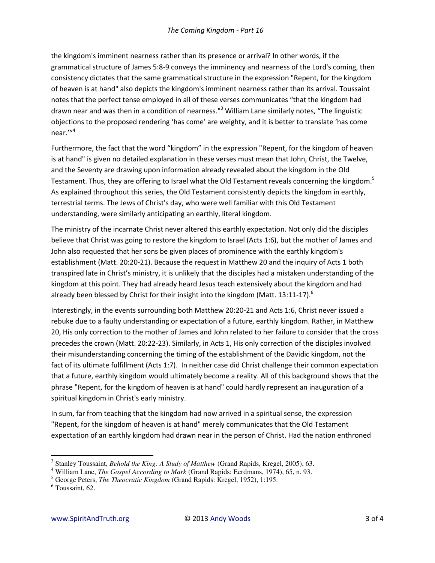the kingdom's imminent nearness rather than its presence or arrival? In other words, if the grammatical structure of James 5:8-9 conveys the imminency and nearness of the Lord's coming, then consistency dictates that the same grammatical structure in the expression "Repent, for the kingdom of heaven is at hand" also depicts the kingdom's imminent nearness rather than its arrival. Toussaint notes that the perfect tense employed in all of these verses communicates "that the kingdom had drawn near and was then in a condition of nearness."<sup>3</sup> William Lane similarly notes, "The linguistic objections to the proposed rendering 'has come' are weighty, and it is better to translate 'has come  $near.'''^4$ 

Furthermore, the fact that the word "kingdom" in the expression "Repent, for the kingdom of heaven is at hand" is given no detailed explanation in these verses must mean that John, Christ, the Twelve, and the Seventy are drawing upon information already revealed about the kingdom in the Old Testament. Thus, they are offering to Israel what the Old Testament reveals concerning the kingdom.<sup>5</sup> As explained throughout this series, the Old Testament consistently depicts the kingdom in earthly, terrestrial terms. The Jews of Christ's day, who were well familiar with this Old Testament understanding, were similarly anticipating an earthly, literal kingdom.

The ministry of the incarnate Christ never altered this earthly expectation. Not only did the disciples believe that Christ was going to restore the kingdom to Israel (Acts 1:6), but the mother of James and John also requested that her sons be given places of prominence with the earthly kingdom's establishment (Matt. 20:20-21). Because the request in Matthew 20 and the inquiry of Acts 1 both transpired late in Christ's ministry, it is unlikely that the disciples had a mistaken understanding of the kingdom at this point. They had already heard Jesus teach extensively about the kingdom and had already been blessed by Christ for their insight into the kingdom (Matt. 13:11-17).<sup>6</sup>

Interestingly, in the events surrounding both Matthew 20:20-21 and Acts 1:6, Christ never issued a rebuke due to a faulty understanding or expectation of a future, earthly kingdom. Rather, in Matthew 20, His only correction to the mother of James and John related to her failure to consider that the cross precedes the crown (Matt. 20:22-23). Similarly, in Acts 1, His only correction of the disciples involved their misunderstanding concerning the timing of the establishment of the Davidic kingdom, not the fact of its ultimate fulfillment (Acts 1:7). In neither case did Christ challenge their common expectation that a future, earthly kingdom would ultimately become a reality. All of this background shows that the phrase "Repent, for the kingdom of heaven is at hand" could hardly represent an inauguration of a spiritual kingdom in Christ's early ministry.

In sum, far from teaching that the kingdom had now arrived in a spiritual sense, the expression "Repent, for the kingdom of heaven is at hand" merely communicates that the Old Testament expectation of an earthly kingdom had drawn near in the person of Christ. Had the nation enthroned

<sup>&</sup>lt;sup>3</sup> Stanley Toussaint, Behold the King: A Study of Matthew (Grand Rapids, Kregel, 2005), 63.

<sup>&</sup>lt;sup>4</sup> William Lane, *The Gospel According to Mark* (Grand Rapids: Eerdmans, 1974), 65, n. 93.

 $5$  George Peters, The Theocratic Kingdom (Grand Rapids: Kregel, 1952), 1:195.

 $6$  Toussaint, 62.